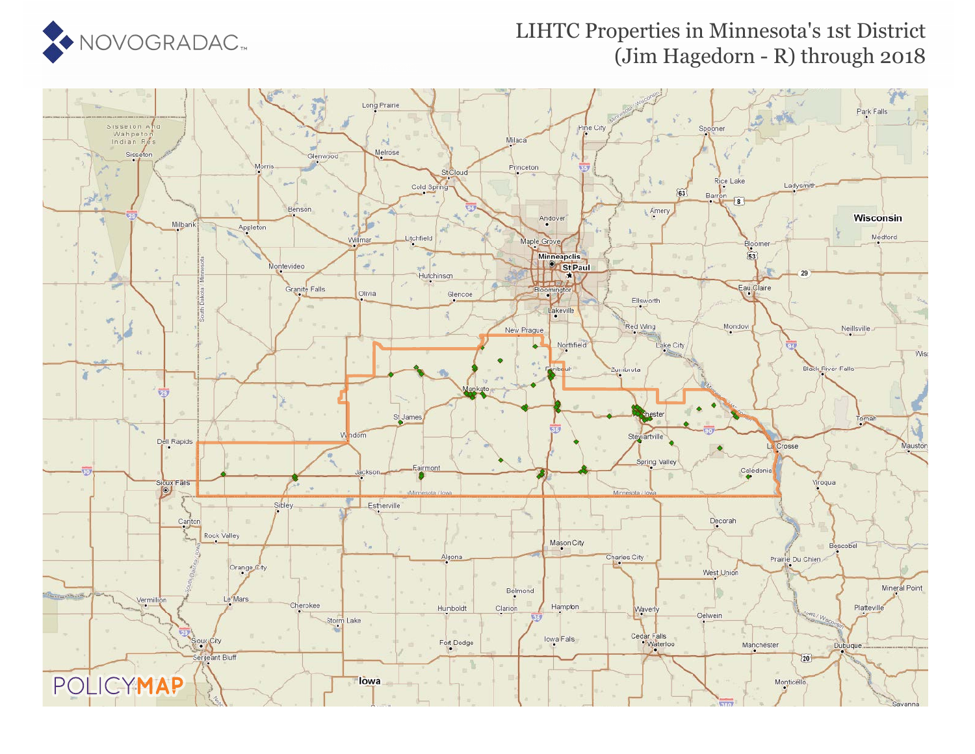

### LIHTC Properties in Minnesota's 1st District (Jim Hagedorn - R) through 2018

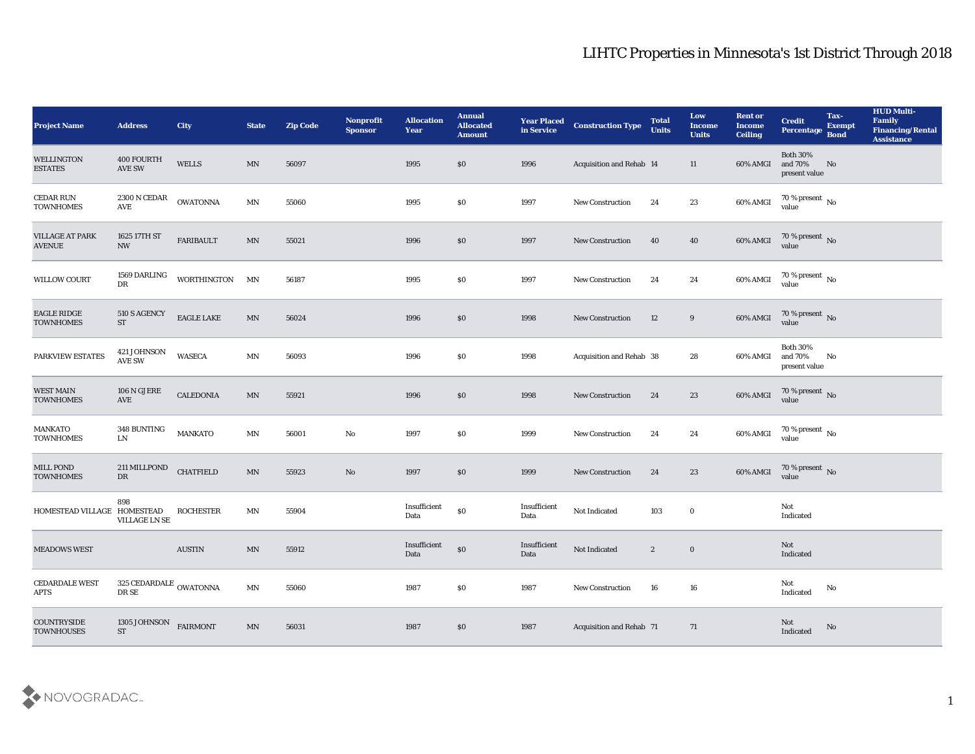| <b>Project Name</b>                     | <b>Address</b>                             | <b>City</b>                 | <b>State</b>             | <b>Zip Code</b> | Nonprofit<br><b>Sponsor</b> | <b>Allocation</b><br><b>Year</b> | <b>Annual</b><br><b>Allocated</b><br><b>Amount</b> | <b>Year Placed<br/>in Service</b> | <b>Construction Type</b> | <b>Total</b><br><b>Units</b> | Low<br><b>Income</b><br><b>Units</b> | <b>Rent or</b><br><b>Income</b><br><b>Ceiling</b> | <b>Credit</b><br>Percentage                 | Tax-<br><b>Exempt</b><br><b>Bond</b> | <b>HUD Multi-</b><br>Family<br><b>Financing/Rental</b><br><b>Assistance</b> |
|-----------------------------------------|--------------------------------------------|-----------------------------|--------------------------|-----------------|-----------------------------|----------------------------------|----------------------------------------------------|-----------------------------------|--------------------------|------------------------------|--------------------------------------|---------------------------------------------------|---------------------------------------------|--------------------------------------|-----------------------------------------------------------------------------|
| <b>WELLINGTON</b><br><b>ESTATES</b>     | 400 FOURTH<br>$\operatorname{AVE}$ SW      | WELLS                       | MN                       | 56097           |                             | 1995                             | \$0                                                | 1996                              | Acquisition and Rehab 14 |                              | 11                                   | 60% AMGI                                          | <b>Both 30%</b><br>and 70%<br>present value | No                                   |                                                                             |
| CEDAR RUN<br><b>TOWNHOMES</b>           | $2300\,\mathrm{N}$ CEDAR<br>AVE            | <b>OWATONNA</b>             | MN                       | 55060           |                             | 1995                             | \$0                                                | 1997                              | <b>New Construction</b>  | 24                           | 23                                   | 60% AMGI                                          | $70$ % present $\,$ No $\,$ value           |                                      |                                                                             |
| <b>VILLAGE AT PARK</b><br><b>AVENUE</b> | 1625 17TH ST<br><b>NW</b>                  | <b>FARIBAULT</b>            | MN                       | 55021           |                             | 1996                             | \$0                                                | 1997                              | New Construction         | 40                           | 40                                   | 60% AMGI                                          | $70\,\%$ present $\,$ No value              |                                      |                                                                             |
| <b>WILLOW COURT</b>                     | 1569 DARLING<br>DR                         | WORTHINGTON MN              |                          | 56187           |                             | 1995                             | \$0                                                | 1997                              | New Construction         | 24                           | 24                                   | 60% AMGI                                          | $70\,\%$ present $\,$ No value              |                                      |                                                                             |
| <b>EAGLE RIDGE</b><br><b>TOWNHOMES</b>  | 510 S AGENCY<br>${\rm ST}$                 | $\operatorname{EAGLE}$ LAKE | MN                       | 56024           |                             | 1996                             | $\$0$                                              | 1998                              | <b>New Construction</b>  | 12                           | 9                                    | 60% AMGI                                          | $70\,\%$ present $\,$ No value              |                                      |                                                                             |
| PARKVIEW ESTATES                        | 421 JOHNSON<br>$\operatorname{AVE}$ SW     | <b>WASECA</b>               | $\mathbf{M} \mathbf{N}$  | 56093           |                             | 1996                             | \$0                                                | 1998                              | Acquisition and Rehab 38 |                              | 28                                   | 60% AMGI                                          | <b>Both 30%</b><br>and 70%<br>present value | No                                   |                                                                             |
| <b>WEST MAIN</b><br><b>TOWNHOMES</b>    | $106$ N GJERE<br>AVE                       | <b>CALEDONIA</b>            | MN                       | 55921           |                             | 1996                             | \$0                                                | 1998                              | <b>New Construction</b>  | 24                           | 23                                   | 60% AMGI                                          | $70\,\%$ present $\,$ No value              |                                      |                                                                             |
| <b>MANKATO</b><br><b>TOWNHOMES</b>      | 348 BUNTING<br>${\rm LN}$                  | <b>MANKATO</b>              | $\textsf{MN}{}$          | 56001           | $\mathbf {No}$              | 1997                             | $\$0$                                              | 1999                              | <b>New Construction</b>  | 24                           | 24                                   | 60% AMGI                                          | $70\,\%$ present $\,$ No value              |                                      |                                                                             |
| MILL POND<br><b>TOWNHOMES</b>           | 211 MILLPOND<br>DR                         | <b>CHATFIELD</b>            | $\ensuremath{\text{MN}}$ | 55923           | No                          | 1997                             | $\$0$                                              | 1999                              | New Construction         | 24                           | 23                                   | 60% AMGI                                          | $70\,\%$ present $\,$ No value              |                                      |                                                                             |
| HOMESTEAD VILLAGE HOMESTEAD             | 898<br><b>VILLAGE LN SE</b>                | <b>ROCHESTER</b>            | MN                       | 55904           |                             | Insufficient<br>Data             | $\$0$                                              | Insufficient<br>Data              | Not Indicated            | 103                          | $\bf{0}$                             |                                                   | Not<br>Indicated                            |                                      |                                                                             |
| <b>MEADOWS WEST</b>                     |                                            | <b>AUSTIN</b>               | MN                       | 55912           |                             | Insufficient<br>Data             | $\$0$                                              | Insufficient<br>Data              | Not Indicated            | $\mathbf{2}$                 | $\bf{0}$                             |                                                   | Not<br>Indicated                            |                                      |                                                                             |
| <b>CEDARDALE WEST</b><br><b>APTS</b>    | 325 CEDARDALE $_{\rm \,OWATONNA}$<br>DR SE |                             | MN                       | 55060           |                             | 1987                             | $\$0$                                              | 1987                              | New Construction         | 16                           | ${\bf 16}$                           |                                                   | Not<br>Indicated                            | $\mathbf{No}$                        |                                                                             |
| COUNTRYSIDE<br><b>TOWNHOUSES</b>        | 1305 JOHNSON<br>${\rm ST}$                 | <b>FAIRMONT</b>             | MN                       | 56031           |                             | 1987                             | $\$0$                                              | 1987                              | Acquisition and Rehab 71 |                              | 71                                   |                                                   | Not<br>Indicated                            | $\rm No$                             |                                                                             |

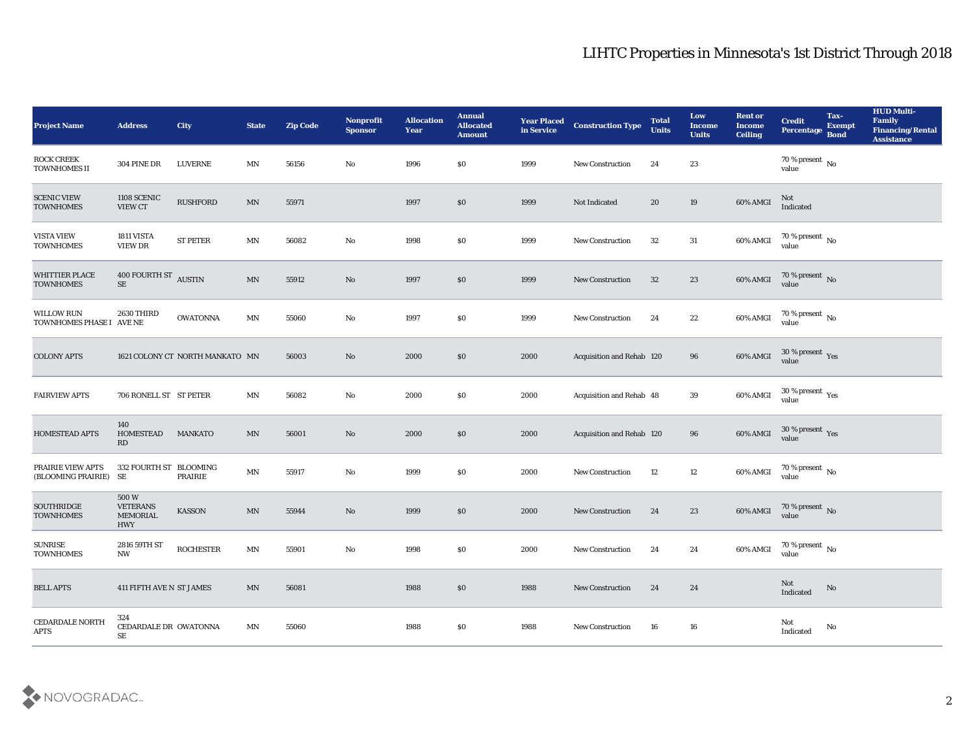| <b>Project Name</b>                           | <b>Address</b>                                           | <b>City</b>                     | <b>State</b>             | <b>Zip Code</b> | <b>Nonprofit</b><br><b>Sponsor</b> | <b>Allocation</b><br><b>Year</b> | <b>Annual</b><br><b>Allocated</b><br><b>Amount</b> | <b>Year Placed</b><br>in Service | <b>Construction Type</b>         | <b>Total</b><br><b>Units</b> | Low<br><b>Income</b><br><b>Units</b> | <b>Rent or</b><br><b>Income</b><br><b>Ceiling</b> | <b>Credit</b><br><b>Percentage</b> | Tax-<br><b>Exempt</b><br><b>Bond</b> | <b>HUD Multi-</b><br>Family<br><b>Financing/Rental</b><br><b>Assistance</b> |
|-----------------------------------------------|----------------------------------------------------------|---------------------------------|--------------------------|-----------------|------------------------------------|----------------------------------|----------------------------------------------------|----------------------------------|----------------------------------|------------------------------|--------------------------------------|---------------------------------------------------|------------------------------------|--------------------------------------|-----------------------------------------------------------------------------|
| <b>ROCK CREEK</b><br><b>TOWNHOMES II</b>      | <b>304 PINE DR</b>                                       | <b>LUVERNE</b>                  | MN                       | 56156           | No                                 | 1996                             | \$0                                                | 1999                             | <b>New Construction</b>          | 24                           | 23                                   |                                                   | 70 % present $\,$ No $\,$<br>value |                                      |                                                                             |
| <b>SCENIC VIEW</b><br><b>TOWNHOMES</b>        | 1108 SCENIC<br><b>VIEW CT</b>                            | <b>RUSHFORD</b>                 | MN                       | 55971           |                                    | 1997                             | \$0                                                | 1999                             | Not Indicated                    | 20                           | 19                                   | 60% AMGI                                          | Not<br>Indicated                   |                                      |                                                                             |
| <b>VISTA VIEW</b><br><b>TOWNHOMES</b>         | 1811 VISTA<br>VIEW DR                                    | <b>ST PETER</b>                 | MN                       | 56082           | No                                 | 1998                             | \$0                                                | 1999                             | <b>New Construction</b>          | 32                           | 31                                   | 60% AMGI                                          | $70\,\%$ present $\,$ No value     |                                      |                                                                             |
| <b>WHITTIER PLACE</b><br><b>TOWNHOMES</b>     | 400 FOURTH ST AUSTIN<br>SE                               |                                 | MN                       | 55912           | No                                 | 1997                             | \$0                                                | 1999                             | <b>New Construction</b>          | 32                           | 23                                   | 60% AMGI                                          | $70\,\%$ present $\,$ No value     |                                      |                                                                             |
| <b>WILLOW RUN</b><br>TOWNHOMES PHASE I AVE NE | 2630 THIRD                                               | <b>OWATONNA</b>                 | MN                       | 55060           | No                                 | 1997                             | \$0                                                | 1999                             | <b>New Construction</b>          | 24                           | $22\,$                               | 60% AMGI                                          | 70 % present $\,$ No $\,$<br>value |                                      |                                                                             |
| <b>COLONY APTS</b>                            |                                                          | 1621 COLONY CT NORTH MANKATO MN |                          | 56003           | No                                 | 2000                             | \$0                                                | 2000                             | Acquisition and Rehab 120        |                              | 96                                   | 60% AMGI                                          | $30\,\%$ present $\,$ Yes value    |                                      |                                                                             |
| <b>FAIRVIEW APTS</b>                          | 706 RONELL ST ST PETER                                   |                                 | <b>MN</b>                | 56082           | No                                 | 2000                             | \$0                                                | 2000                             | Acquisition and Rehab 48         |                              | 39                                   | 60% AMGI                                          | $30\,\%$ present $\,$ Yes value    |                                      |                                                                             |
| <b>HOMESTEAD APTS</b>                         | 140<br><b>HOMESTEAD</b><br>RD                            | <b>MANKATO</b>                  | <b>MN</b>                | 56001           | No                                 | 2000                             | \$0                                                | 2000                             | <b>Acquisition and Rehab 120</b> |                              | 96                                   | 60% AMGI                                          | $30\,\%$ present $\,$ Yes value    |                                      |                                                                             |
| PRAIRIE VIEW APTS<br>(BLOOMING PRAIRIE) SE    | 332 FOURTH ST BLOOMING                                   | PRAIRIE                         | MN                       | 55917           | No                                 | 1999                             | \$0                                                | 2000                             | <b>New Construction</b>          | 12                           | 12                                   | 60% AMGI                                          | $70\,\%$ present $\,$ No value     |                                      |                                                                             |
| <b>SOUTHRIDGE</b><br><b>TOWNHOMES</b>         | 500W<br><b>VETERANS</b><br><b>MEMORIAL</b><br><b>HWY</b> | <b>KASSON</b>                   | MN                       | 55944           | No                                 | 1999                             | \$0                                                | 2000                             | <b>New Construction</b>          | 24                           | 23                                   | 60% AMGI                                          | $70\,\%$ present $\,$ No value     |                                      |                                                                             |
| <b>SUNRISE</b><br><b>TOWNHOMES</b>            | 2816 59TH ST<br>NW                                       | <b>ROCHESTER</b>                | MN                       | 55901           | No                                 | 1998                             | \$0                                                | 2000                             | New Construction                 | 24                           | 24                                   | 60% AMGI                                          | 70 % present $\,$ No $\,$<br>value |                                      |                                                                             |
| <b>BELL APTS</b>                              | 411 FIFTH AVE N ST JAMES                                 |                                 | $\ensuremath{\text{MN}}$ | 56081           |                                    | 1988                             | $\$0$                                              | 1988                             | <b>New Construction</b>          | 24                           | 24                                   |                                                   | Not<br>Indicated                   | $\rm No$                             |                                                                             |
| <b>CEDARDALE NORTH</b><br>APTS                | 324<br>CEDARDALE DR OWATONNA<br>SE                       |                                 | MN                       | 55060           |                                    | 1988                             | \$0                                                | 1988                             | New Construction                 | 16                           | 16                                   |                                                   | Not<br>Indicated                   | No                                   |                                                                             |

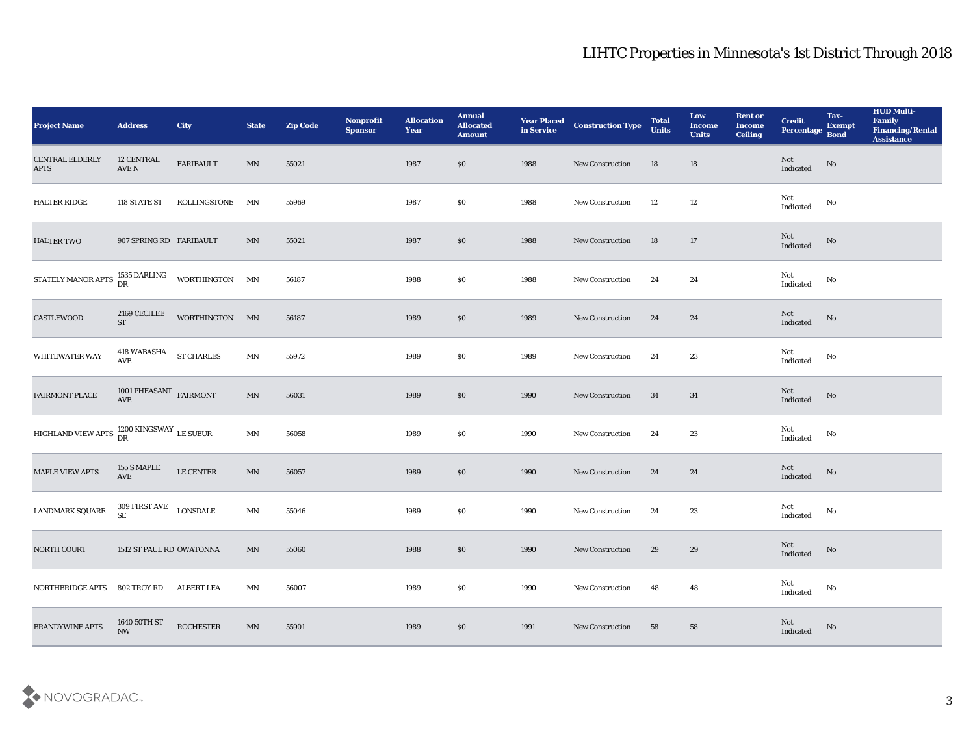| <b>Project Name</b>                                     | <b>Address</b>                           | City                       | <b>State</b>             | <b>Zip Code</b> | Nonprofit<br><b>Sponsor</b> | <b>Allocation</b><br><b>Year</b> | <b>Annual</b><br><b>Allocated</b><br><b>Amount</b> | <b>Year Placed<br/>in Service</b> | <b>Construction Type</b> | <b>Total</b><br><b>Units</b> | Low<br><b>Income</b><br><b>Units</b> | <b>Rent or</b><br><b>Income</b><br><b>Ceiling</b> | <b>Credit</b><br>Percentage Bond  | Tax-<br><b>Exempt</b>  | <b>HUD Multi-</b><br>Family<br><b>Financing/Rental</b><br><b>Assistance</b> |
|---------------------------------------------------------|------------------------------------------|----------------------------|--------------------------|-----------------|-----------------------------|----------------------------------|----------------------------------------------------|-----------------------------------|--------------------------|------------------------------|--------------------------------------|---------------------------------------------------|-----------------------------------|------------------------|-----------------------------------------------------------------------------|
| <b>CENTRAL ELDERLY</b><br><b>APTS</b>                   | 12 CENTRAL<br>$\operatorname{AVE}$ N     | FARIBAULT                  | MN                       | 55021           |                             | 1987                             | \$0                                                | 1988                              | New Construction         | 18                           | 18                                   |                                                   | Not<br>Indicated                  | $\rm No$               |                                                                             |
| <b>HALTER RIDGE</b>                                     | 118 STATE ST                             | ROLLINGSTONE               | MN                       | 55969           |                             | 1987                             | \$0                                                | 1988                              | <b>New Construction</b>  | 12                           | 12                                   |                                                   | Not<br>Indicated                  | No                     |                                                                             |
| <b>HALTER TWO</b>                                       | 907 SPRING RD FARIBAULT                  |                            | MN                       | 55021           |                             | 1987                             | \$0                                                | 1988                              | New Construction         | 18                           | 17                                   |                                                   | Not<br>Indicated                  | No                     |                                                                             |
| STATELY MANOR APTS 1535 DARLING                         |                                          | WORTHINGTON MN             |                          | 56187           |                             | 1988                             | \$0                                                | 1988                              | New Construction         | 24                           | 24                                   |                                                   | Not<br>$\operatorname{Indicated}$ | No                     |                                                                             |
| CASTLEWOOD                                              | 2169 CECILEE<br><b>ST</b>                | WORTHINGTON MN             |                          | 56187           |                             | 1989                             | \$0                                                | 1989                              | New Construction         | 24                           | 24                                   |                                                   | Not<br>Indicated                  | No                     |                                                                             |
| WHITEWATER WAY                                          | 418 WABASHA<br>AVE                       | <b>ST CHARLES</b>          | MN                       | 55972           |                             | 1989                             | \$0                                                | 1989                              | New Construction         | 24                           | 23                                   |                                                   | Not<br>$\operatorname{Indicated}$ | No                     |                                                                             |
| <b>FAIRMONT PLACE</b>                                   | 1001 PHEASANT $\,$ FAIRMONT AVE          |                            | $\ensuremath{\text{MN}}$ | 56031           |                             | 1989                             | \$0                                                | 1990                              | New Construction         | 34                           | 34                                   |                                                   | Not<br>Indicated                  | No                     |                                                                             |
| HIGHLAND VIEW APTS $^{1200}_{\rm DR}$ KINGSWAY LE SUEUR |                                          |                            | MN                       | 56058           |                             | 1989                             | \$0                                                | 1990                              | New Construction         | 24                           | 23                                   |                                                   | Not<br>Indicated                  | No                     |                                                                             |
| <b>MAPLE VIEW APTS</b>                                  | 155 S MAPLE<br>AVE                       | LE CENTER                  | $\ensuremath{\text{MN}}$ | 56057           |                             | 1989                             | \$0                                                | 1990                              | New Construction         | 24                           | 24                                   |                                                   | Not<br>Indicated                  | No                     |                                                                             |
| LANDMARK SQUARE                                         | 309 FIRST AVE<br><b>SE</b>               | <b>LONSDALE</b>            | MN                       | 55046           |                             | 1989                             | \$0                                                | 1990                              | <b>New Construction</b>  | 24                           | 23                                   |                                                   | Not<br>Indicated                  | No                     |                                                                             |
| NORTH COURT                                             | 1512 ST PAUL RD OWATONNA                 |                            | MN                       | 55060           |                             | 1988                             | \$0                                                | 1990                              | <b>New Construction</b>  | 29                           | 29                                   |                                                   | Not<br>Indicated                  | No                     |                                                                             |
| NORTHBRIDGE APTS 802 TROY RD                            |                                          | ALBERT LEA                 | MN                       | 56007           |                             | 1989                             | $\$0$                                              | 1990                              | <b>New Construction</b>  | 48                           | $\bf 48$                             |                                                   | Not<br>Indicated                  | $\mathbf{N}\mathbf{o}$ |                                                                             |
| <b>BRANDYWINE APTS</b>                                  | 1640 50TH ST<br>$\ensuremath{\text{NW}}$ | $\operatorname{ROCHESTER}$ | $\ensuremath{\text{MN}}$ | 55901           |                             | 1989                             | \$0                                                | 1991                              | <b>New Construction</b>  | 58                           | 58                                   |                                                   | Not<br>Indicated                  | No                     |                                                                             |

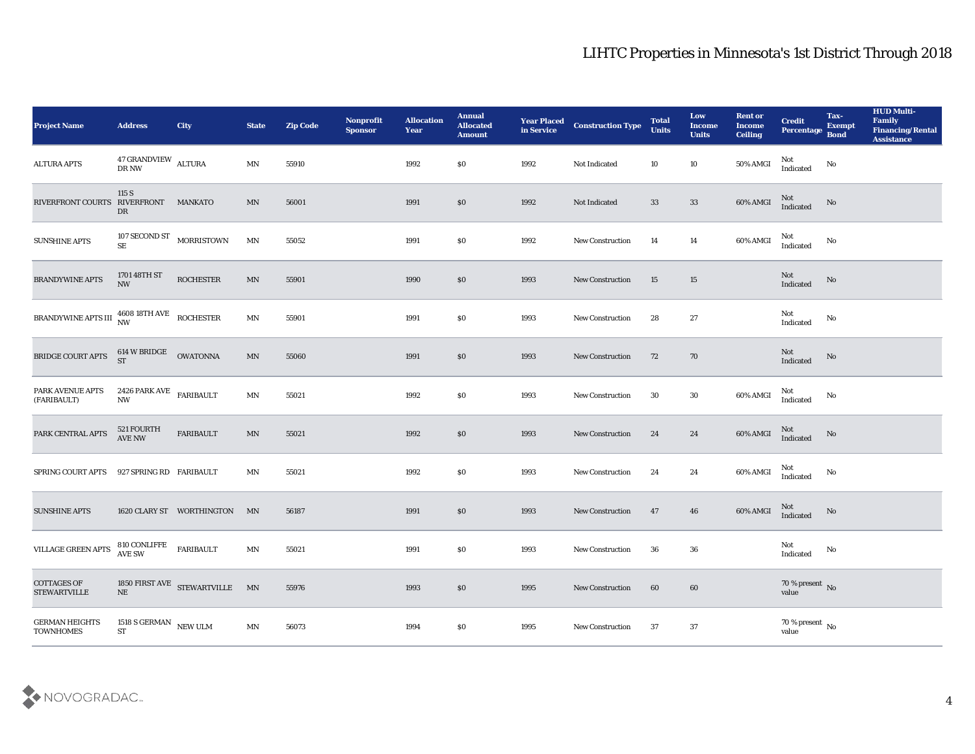| Project Name                                              | <b>Address</b>                                            | City                                                             | <b>State</b>             | <b>Zip Code</b> | Nonprofit<br><b>Sponsor</b> | <b>Allocation</b><br><b>Year</b> | <b>Annual</b><br><b>Allocated</b><br><b>Amount</b> | <b>Year Placed<br/>in Service</b> | <b>Construction Type</b> | <b>Total</b><br><b>Units</b> | Low<br><b>Income</b><br><b>Units</b> | <b>Rent or</b><br><b>Income</b><br><b>Ceiling</b> | <b>Credit</b><br>Percentage    | Tax-<br><b>Exempt</b><br><b>Bond</b> | <b>HUD Multi-</b><br>Family<br><b>Financing/Rental</b><br><b>Assistance</b> |
|-----------------------------------------------------------|-----------------------------------------------------------|------------------------------------------------------------------|--------------------------|-----------------|-----------------------------|----------------------------------|----------------------------------------------------|-----------------------------------|--------------------------|------------------------------|--------------------------------------|---------------------------------------------------|--------------------------------|--------------------------------------|-----------------------------------------------------------------------------|
| <b>ALTURA APTS</b>                                        | $47$ GRANDVIEW $\;$ ALTURA DR NW                          |                                                                  | MN                       | 55910           |                             | 1992                             | $\$0$                                              | 1992                              | Not Indicated            | 10                           | 10                                   | 50% AMGI                                          | Not<br>Indicated               | No                                   |                                                                             |
| RIVERFRONT COURTS RIVERFRONT                              | 115 S<br>DR                                               | <b>MANKATO</b>                                                   | MN                       | 56001           |                             | 1991                             | \$0                                                | 1992                              | Not Indicated            | 33                           | 33                                   | 60% AMGI                                          | Not<br>Indicated               | $\mathbf{N}\mathbf{o}$               |                                                                             |
| <b>SUNSHINE APTS</b>                                      | SE                                                        | 107 SECOND ST MORRISTOWN                                         | MN                       | 55052           |                             | 1991                             | \$0                                                | 1992                              | New Construction         | 14                           | 14                                   | 60% AMGI                                          | Not<br>Indicated               | No                                   |                                                                             |
| BRANDYWINE APTS                                           | 1701 48TH ST<br><b>NW</b>                                 | <b>ROCHESTER</b>                                                 | MN                       | 55901           |                             | 1990                             | $\boldsymbol{\mathsf{S}}\boldsymbol{\mathsf{O}}$   | 1993                              | <b>New Construction</b>  | 15                           | 15                                   |                                                   | Not<br>Indicated               | No                                   |                                                                             |
| BRANDYWINE APTS III $_{\rm NW}^{4608}$ 18TH AVE ROCHESTER |                                                           |                                                                  | MN                       | 55901           |                             | 1991                             | \$0                                                | 1993                              | <b>New Construction</b>  | 28                           | 27                                   |                                                   | Not<br>Indicated               | No                                   |                                                                             |
| BRIDGE COURT APTS                                         | 614 W BRIDGE<br>ST                                        | <b>OWATONNA</b>                                                  | MN                       | 55060           |                             | 1991                             | $\$0$                                              | 1993                              | New Construction         | 72                           | 70                                   |                                                   | Not<br>Indicated               | No                                   |                                                                             |
| PARK AVENUE APTS<br>(FARIBAULT)                           | 2426 PARK AVE $$\tt FARIBAULT$$<br>$\mathbf{N}\mathbf{W}$ |                                                                  | MN                       | 55021           |                             | 1992                             | \$0                                                | 1993                              | <b>New Construction</b>  | 30                           | 30                                   | 60% AMGI                                          | Not<br>Indicated               | No                                   |                                                                             |
| PARK CENTRAL APTS                                         | 521 FOURTH<br><b>AVE NW</b>                               | FARIBAULT                                                        | $\ensuremath{\text{MN}}$ | 55021           |                             | 1992                             | \$0                                                | 1993                              | New Construction         | 24                           | 24                                   | 60% AMGI                                          | Not<br>Indicated               | No                                   |                                                                             |
| SPRING COURT APTS                                         | 927 SPRING RD FARIBAULT                                   |                                                                  | MN                       | 55021           |                             | 1992                             | \$0                                                | 1993                              | <b>New Construction</b>  | 24                           | 24                                   | $60\%$ AMGI                                       | Not<br>Indicated               | No                                   |                                                                             |
| <b>SUNSHINE APTS</b>                                      |                                                           | 1620 CLARY ST WORTHINGTON MN                                     |                          | 56187           |                             | 1991                             | \$0                                                | 1993                              | <b>New Construction</b>  | 47                           | 46                                   | 60% AMGI                                          | Not<br>Indicated               | No                                   |                                                                             |
| VILLAGE GREEN APTS                                        | 810 CONLIFFE<br>AVE SW                                    | <b>FARIBAULT</b>                                                 | MN                       | 55021           |                             | 1991                             | \$0                                                | 1993                              | <b>New Construction</b>  | 36                           | 36                                   |                                                   | Not<br>Indicated               | No                                   |                                                                             |
| <b>COTTAGES OF</b><br><b>STEWARTVILLE</b>                 |                                                           | 1850 FIRST AVE ${\large\bf STEWARTVILLE}\quad {\large\bf MN}$ NE |                          | 55976           |                             | 1993                             | $\$0$                                              | 1995                              | <b>New Construction</b>  | 60                           | 60                                   |                                                   | $70\,\%$ present $\,$ No value |                                      |                                                                             |
| <b>GERMAN HEIGHTS</b><br><b>TOWNHOMES</b>                 | 1518 S GERMAN $\,$ NEW ULM $\,$<br>${\cal S}{\cal T}$     |                                                                  | $\ensuremath{\text{MN}}$ | 56073           |                             | 1994                             | $\$0$                                              | 1995                              | New Construction         | 37                           | 37                                   |                                                   | $70$ % present $_{\rm{No}}$    |                                      |                                                                             |

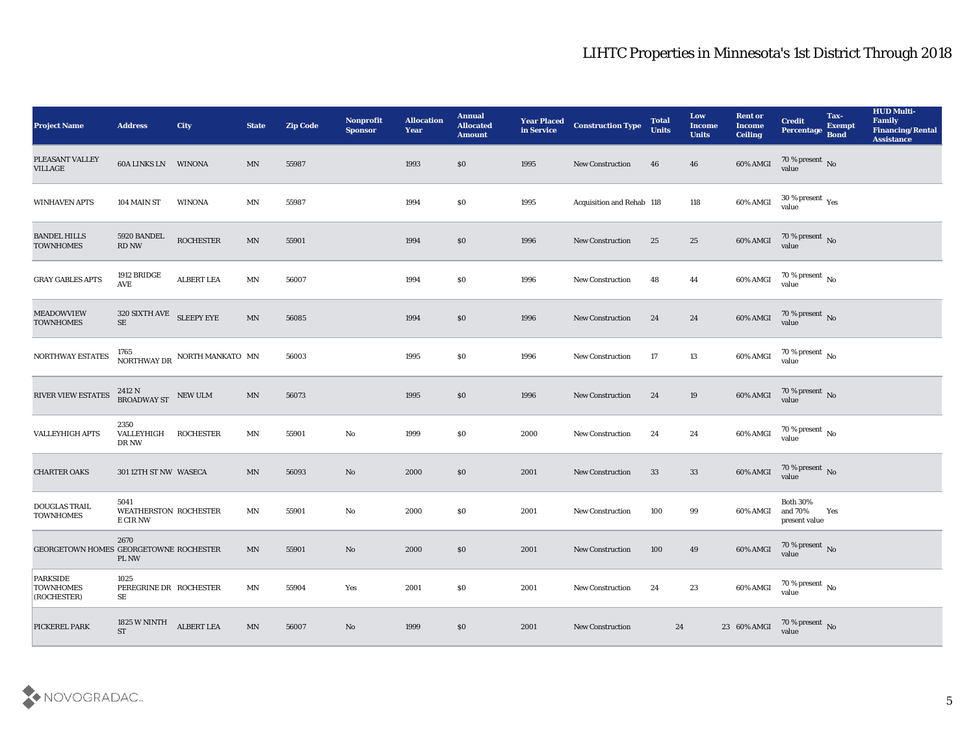| <b>Project Name</b>                         | <b>Address</b>                                   | <b>City</b>                                                   | <b>State</b>             | <b>Zip Code</b> | <b>Nonprofit</b><br><b>Sponsor</b> | <b>Allocation</b><br><b>Year</b> | <b>Annual</b><br><b>Allocated</b><br><b>Amount</b> | <b>Year Placed<br/>in Service</b> | <b>Construction Type</b>  | <b>Total</b><br><b>Units</b> | Low<br><b>Income</b><br><b>Units</b> | <b>Rent or</b><br><b>Income</b><br><b>Ceiling</b> | <b>Credit</b><br>Percentage                 | Tax-<br><b>Exempt</b><br><b>Bond</b> | <b>HUD Multi-</b><br>Family<br><b>Financing/Rental</b><br><b>Assistance</b> |
|---------------------------------------------|--------------------------------------------------|---------------------------------------------------------------|--------------------------|-----------------|------------------------------------|----------------------------------|----------------------------------------------------|-----------------------------------|---------------------------|------------------------------|--------------------------------------|---------------------------------------------------|---------------------------------------------|--------------------------------------|-----------------------------------------------------------------------------|
| PLEASANT VALLEY<br><b>VILLAGE</b>           | <b>60A LINKS LN WINONA</b>                       |                                                               | MN                       | 55987           |                                    | 1993                             | \$0                                                | 1995                              | New Construction          | 46                           | 46                                   | 60% AMGI                                          | 70 % present No<br>value                    |                                      |                                                                             |
| <b>WINHAVEN APTS</b>                        | 104 MAIN ST                                      | <b>WINONA</b>                                                 | MN                       | 55987           |                                    | 1994                             | $\$0$                                              | 1995                              | Acquisition and Rehab 118 |                              | 118                                  | 60% AMGI                                          | 30 % present $\gamma_{\rm es}$<br>value     |                                      |                                                                             |
| <b>BANDEL HILLS</b><br><b>TOWNHOMES</b>     | 5920 BANDEL<br><b>RD NW</b>                      | <b>ROCHESTER</b>                                              | MN                       | 55901           |                                    | 1994                             | \$0                                                | 1996                              | <b>New Construction</b>   | 25                           | 25                                   | 60% AMGI                                          | $70\,\%$ present $\,$ No value              |                                      |                                                                             |
| <b>GRAY GABLES APTS</b>                     | 1912 BRIDGE<br>AVE                               | <b>ALBERT LEA</b>                                             | MN                       | 56007           |                                    | 1994                             | $\$0$                                              | 1996                              | <b>New Construction</b>   | 48                           | 44                                   | 60% AMGI                                          | $70\,\% \,present \over value$              |                                      |                                                                             |
| <b>MEADOWVIEW</b><br><b>TOWNHOMES</b>       | $320$ SIXTH AVE $\,$ SLEEPY EYE<br>$\rm SE$      |                                                               | MN                       | 56085           |                                    | 1994                             | $\$0$                                              | 1996                              | <b>New Construction</b>   | 24                           | 24                                   | 60% AMGI                                          | $70\,\%$ present $\,$ No value              |                                      |                                                                             |
| NORTHWAY ESTATES                            |                                                  | 1765 $\rm{NORTHWAY\,DR} \rm{\quad NORTH\,MANKATO\  \  \, MN}$ |                          | 56003           |                                    | 1995                             | $\$0$                                              | 1996                              | New Construction          | 17                           | $13\,$                               | 60% AMGI                                          | 70 % present No<br>value                    |                                      |                                                                             |
| <b>RIVER VIEW ESTATES</b>                   | 2412 N<br>BROADWAY ST NEW ULM                    |                                                               | MN                       | 56073           |                                    | 1995                             | \$0                                                | 1996                              | <b>New Construction</b>   | 24                           | 19                                   | 60% AMGI                                          | $70\,\%$ present $\,$ No value              |                                      |                                                                             |
| <b>VALLEYHIGH APTS</b>                      | 2350<br>VALLEYHIGH<br>DR NW                      | <b>ROCHESTER</b>                                              | MN                       | 55901           | $\mathbf {No}$                     | 1999                             | \$0\$                                              | 2000                              | <b>New Construction</b>   | 24                           | 24                                   | 60% AMGI                                          | $70\,\%$ present $\,$ No value              |                                      |                                                                             |
| <b>CHARTER OAKS</b>                         | 301 12TH ST NW WASECA                            |                                                               | MN                       | 56093           | No                                 | 2000                             | \$0                                                | 2001                              | <b>New Construction</b>   | 33                           | 33                                   | 60% AMGI                                          | $70$ % present $\,$ No value                |                                      |                                                                             |
| <b>DOUGLAS TRAIL</b><br><b>TOWNHOMES</b>    | 5041<br><b>WEATHERSTON ROCHESTER</b><br>E CIR NW |                                                               | MN                       | 55901           | No                                 | 2000                             | $\$0$                                              | 2001                              | New Construction          | 100                          | 99                                   | 60% AMGI                                          | <b>Both 30%</b><br>and 70%<br>present value | Yes                                  |                                                                             |
| GEORGETOWN HOMES GEORGETOWNE ROCHESTER      | 2670<br>PL NW                                    |                                                               | MN                       | 55901           | No                                 | 2000                             | $\$0$                                              | 2001                              | <b>New Construction</b>   | 100                          | 49                                   | 60% AMGI                                          | $70\,\%$ present $\,$ No value              |                                      |                                                                             |
| PARKSIDE<br><b>TOWNHOMES</b><br>(ROCHESTER) | 1025<br>PEREGRINE DR ROCHESTER<br>SE             |                                                               | MN                       | 55904           | Yes                                | 2001                             | \$0                                                | 2001                              | New Construction          | 24                           | 23                                   | 60% AMGI                                          | $70\,\%$ present $\,$ No value              |                                      |                                                                             |
| PICKEREL PARK                               | 1825 W NINTH<br><b>ST</b>                        | <b>ALBERT LEA</b>                                             | $\ensuremath{\text{MN}}$ | 56007           | $\rm\thinspace No$                 | 1999                             | $\$0$                                              | 2001                              | New Construction          | ${\bf 24}$                   |                                      | 23 60% AMGI                                       | 70 % present $\,$ No $\,$<br>value          |                                      |                                                                             |

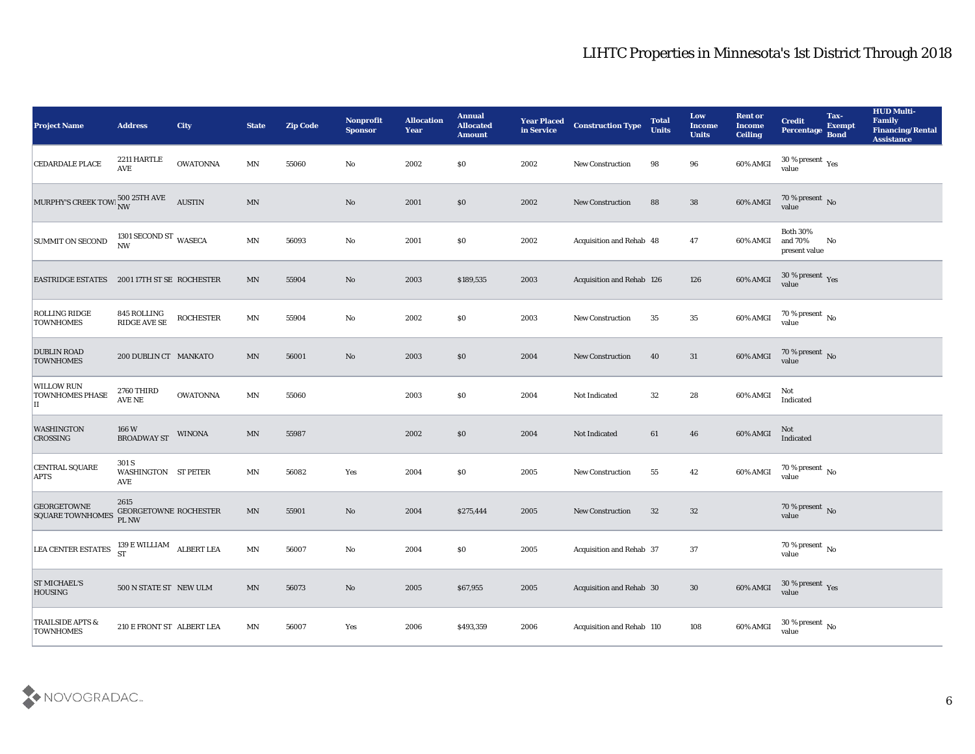| <b>Project Name</b>                                                                                                                                                       | <b>Address</b>                                    | <b>City</b>      | <b>State</b>             | <b>Zip Code</b> | Nonprofit<br><b>Sponsor</b> | <b>Allocation</b><br><b>Year</b> | <b>Annual</b><br><b>Allocated</b><br><b>Amount</b> | <b>Year Placed</b><br>in Service | <b>Construction Type</b>  | <b>Total</b><br><b>Units</b> | Low<br><b>Income</b><br><b>Units</b> | <b>Rent or</b><br><b>Income</b><br><b>Ceiling</b> | <b>Credit</b><br>Percentage                           | Tax-<br><b>Exempt</b><br><b>Bond</b> | <b>HUD Multi-</b><br>Family<br><b>Financing/Rental</b><br><b>Assistance</b> |
|---------------------------------------------------------------------------------------------------------------------------------------------------------------------------|---------------------------------------------------|------------------|--------------------------|-----------------|-----------------------------|----------------------------------|----------------------------------------------------|----------------------------------|---------------------------|------------------------------|--------------------------------------|---------------------------------------------------|-------------------------------------------------------|--------------------------------------|-----------------------------------------------------------------------------|
| <b>CEDARDALE PLACE</b>                                                                                                                                                    | 2211 HARTLE<br>$\operatorname{AVE}$               | <b>OWATONNA</b>  | MN                       | 55060           | No                          | 2002                             | $\$0$                                              | 2002                             | New Construction          | 98                           | 96                                   | 60% AMGI                                          | $30\,\%$ present $\,$ Yes value                       |                                      |                                                                             |
| MURPHY'S CREEK TOW NW                                                                                                                                                     |                                                   | <b>AUSTIN</b>    | $\ensuremath{\text{MN}}$ |                 | No                          | 2001                             | $\$0$                                              | 2002                             | <b>New Construction</b>   | 88                           | 38                                   | 60% AMGI                                          | $70\,\%$ present $\,$ No value                        |                                      |                                                                             |
| <b>SUMMIT ON SECOND</b>                                                                                                                                                   | 1301 SECOND ST WASECA<br>$\ensuremath{\text{NW}}$ |                  | $\mathbf{M} \mathbf{N}$  | 56093           | $\rm\thinspace No$          | 2001                             | \$0\$                                              | 2002                             | Acquisition and Rehab 48  |                              | 47                                   | 60% AMGI                                          | <b>Both 30%</b><br>and 70%<br>present value           | No                                   |                                                                             |
| EASTRIDGE ESTATES 2001 17TH ST SE ROCHESTER                                                                                                                               |                                                   |                  | MN                       | 55904           | No                          | 2003                             | \$189,535                                          | 2003                             | Acquisition and Rehab 126 |                              | 126                                  | 60% AMGI                                          | $30\,\%$ present $\,\mathrm{Yes}$ value               |                                      |                                                                             |
| ROLLING RIDGE<br><b>TOWNHOMES</b>                                                                                                                                         | 845 ROLLING<br>RIDGE AVE SE                       | <b>ROCHESTER</b> | MN                       | 55904           | $\rm\thinspace No$          | 2002                             | \$0\$                                              | 2003                             | <b>New Construction</b>   | 35                           | 35                                   | 60% AMGI                                          | $70\,\%$ present $\,$ No value                        |                                      |                                                                             |
| <b>DUBLIN ROAD</b><br><b>TOWNHOMES</b>                                                                                                                                    | 200 DUBLIN CT MANKATO                             |                  | MN                       | 56001           | No                          | 2003                             | $\$0$                                              | 2004                             | <b>New Construction</b>   | 40                           | 31                                   | 60% AMGI                                          | $70\,\%$ present $\,$ No value                        |                                      |                                                                             |
| <b>WILLOW RUN</b><br><b>TOWNHOMES PHASE</b><br>П                                                                                                                          | 2760 THIRD<br>AVE NE                              | <b>OWATONNA</b>  | MN                       | 55060           |                             | 2003                             | \$0\$                                              | 2004                             | Not Indicated             | 32                           | 28                                   | 60% AMGI                                          | Not<br>Indicated                                      |                                      |                                                                             |
| <b>WASHINGTON</b><br>CROSSING                                                                                                                                             | 166 W<br><b>BROADWAY ST</b>                       | <b>WINONA</b>    | $\ensuremath{\text{MN}}$ | 55987           |                             | 2002                             | \$0\$                                              | 2004                             | Not Indicated             | 61                           | 46                                   | 60% AMGI                                          | Not<br>Indicated                                      |                                      |                                                                             |
| CENTRAL SQUARE<br><b>APTS</b>                                                                                                                                             | 301 S<br>WASHINGTON ST PETER<br>AVE               |                  | $\mathbf{M} \mathbf{N}$  | 56082           | Yes                         | 2004                             | \$0\$                                              | 2005                             | <b>New Construction</b>   | 55                           | 42                                   | 60% AMGI                                          | $70\,\%$ present $\,$ No value                        |                                      |                                                                             |
| <b>GEORGETOWNE</b><br><b>SQUARE TOWNHOMES</b>                                                                                                                             | 2615<br>GEORGETOWNE ROCHESTER<br>PL NW            |                  | MN                       | 55901           | No                          | 2004                             | \$275,444                                          | 2005                             | <b>New Construction</b>   | 32                           | 32                                   |                                                   | $70\,\%$ present $\,$ No value                        |                                      |                                                                             |
| $\begin{tabular}{ l l } \hline LEA \textbf{CENTER ESTATES} & \begin{tabular}{c} 139 \textbf{ E WILLIAM} \\ \textbf{ST} \end{tabular} & \textbf{ALEERT LEA} \end{tabular}$ |                                                   |                  | $\mathbf{M} \mathbf{N}$  | 56007           | No                          | 2004                             | \$0\$                                              | 2005                             | Acquisition and Rehab 37  |                              | 37                                   |                                                   | $70\,\%$ present $\overline{\phantom{1}}$ No<br>value |                                      |                                                                             |
| <b>ST MICHAEL'S</b><br><b>HOUSING</b>                                                                                                                                     | 500 N STATE ST NEW ULM                            |                  | $\text{MN}$              | 56073           | $\mathbf {No}$              | 2005                             | \$67,955                                           | 2005                             | Acquisition and Rehab 30  |                              | 30                                   | 60% AMGI                                          | $30\,\%$ present $\,$ Yes value                       |                                      |                                                                             |
| TRAILSIDE APTS &<br><b>TOWNHOMES</b>                                                                                                                                      | 210 E FRONT ST ALBERT LEA                         |                  | MN                       | 56007           | $\mathbf{Yes}$              | 2006                             | \$493,359                                          | 2006                             | Acquisition and Rehab 110 |                              | 108                                  | 60% AMGI                                          | 30 % present $\,$ No $\,$<br>value                    |                                      |                                                                             |

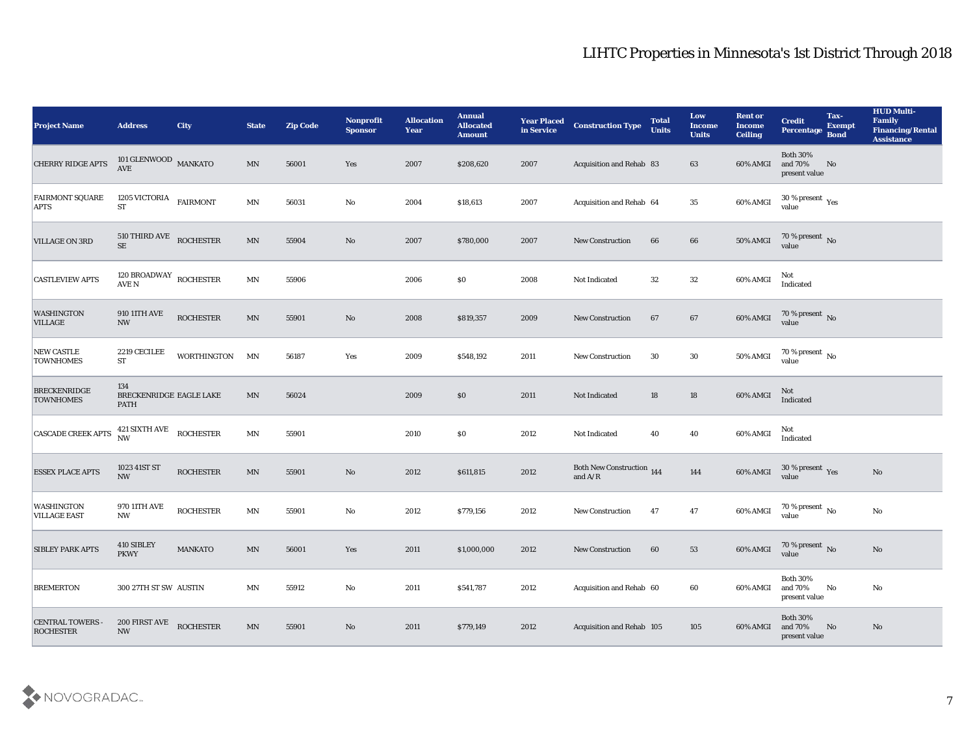| <b>Project Name</b>                         | <b>Address</b>                                | <b>City</b>      | <b>State</b>             | <b>Zip Code</b> | Nonprofit<br><b>Sponsor</b> | <b>Allocation</b><br><b>Year</b> | <b>Annual</b><br><b>Allocated</b><br><b>Amount</b> | <b>Year Placed</b><br>in Service | <b>Construction Type</b>                                                           | <b>Total</b><br><b>Units</b> | Low<br><b>Income</b><br><b>Units</b> | <b>Rent or</b><br><b>Income</b><br><b>Ceiling</b> | <b>Credit</b><br>Percentage                 | Tax-<br><b>Exempt</b><br><b>Bond</b> | <b>HUD Multi-</b><br>Family<br>Financing/Rental<br><b>Assistance</b> |
|---------------------------------------------|-----------------------------------------------|------------------|--------------------------|-----------------|-----------------------------|----------------------------------|----------------------------------------------------|----------------------------------|------------------------------------------------------------------------------------|------------------------------|--------------------------------------|---------------------------------------------------|---------------------------------------------|--------------------------------------|----------------------------------------------------------------------|
| CHERRY RIDGE APTS                           | 101 GLENWOOD $\,$ MANKATO AVE                 |                  | $\mbox{MN}$              | 56001           | Yes                         | 2007                             | \$208,620                                          | 2007                             | Acquisition and Rehab 83                                                           |                              | 63                                   | 60% AMGI                                          | <b>Both 30%</b><br>and 70%<br>present value | No                                   |                                                                      |
| <b>FAIRMONT SQUARE</b><br><b>APTS</b>       | 1205 VICTORIA<br><b>ST</b>                    | <b>FAIRMONT</b>  | MN                       | 56031           | No                          | 2004                             | \$18,613                                           | 2007                             | Acquisition and Rehab 64                                                           |                              | 35                                   | 60% AMGI                                          | $30\,\%$ present $\,$ Yes value             |                                      |                                                                      |
| <b>VILLAGE ON 3RD</b>                       | 510 THIRD AVE ROCHESTER<br>$\rm SE$           |                  | MN                       | 55904           | No                          | 2007                             | \$780,000                                          | 2007                             | <b>New Construction</b>                                                            | 66                           | 66                                   | 50% AMGI                                          | $70\,\%$ present $\,$ No value              |                                      |                                                                      |
| <b>CASTLEVIEW APTS</b>                      | 120 BROADWAY ROCHESTER<br>AVE N               |                  | MN                       | 55906           |                             | 2006                             | $\$0$                                              | 2008                             | Not Indicated                                                                      | 32                           | 32                                   | 60% AMGI                                          | Not<br>Indicated                            |                                      |                                                                      |
| <b>WASHINGTON</b><br><b>VILLAGE</b>         | <b>910 11TH AVE</b><br>$\mathbf{N}\mathbf{W}$ | <b>ROCHESTER</b> | MN                       | 55901           | No                          | 2008                             | \$819,357                                          | 2009                             | <b>New Construction</b>                                                            | 67                           | 67                                   | 60% AMGI                                          | $70\,\%$ present $\,$ No value              |                                      |                                                                      |
| NEW CASTLE<br><b>TOWNHOMES</b>              | 2219 CECILEE<br><b>ST</b>                     | WORTHINGTON      | MN                       | 56187           | Yes                         | 2009                             | \$548,192                                          | 2011                             | New Construction                                                                   | 30                           | 30                                   | 50% AMGI                                          | $70\,\%$ present $\,$ No value              |                                      |                                                                      |
| <b>BRECKENRIDGE</b><br><b>TOWNHOMES</b>     | 134<br>BRECKENRIDGE EAGLE LAKE<br><b>PATH</b> |                  | MN                       | 56024           |                             | 2009                             | $\$0$                                              | 2011                             | Not Indicated                                                                      | 18                           | 18                                   | 60% AMGI                                          | Not<br>Indicated                            |                                      |                                                                      |
| <b>CASCADE CREEK APTS</b>                   | 421 SIXTH AVE ROCHESTER<br><b>NW</b>          |                  | MN                       | 55901           |                             | 2010                             | \$0\$                                              | 2012                             | Not Indicated                                                                      | 40                           | 40                                   | 60% AMGI                                          | Not<br>Indicated                            |                                      |                                                                      |
| <b>ESSEX PLACE APTS</b>                     | 1023 41ST ST<br>$\mathbf{N}\mathbf{W}$        | <b>ROCHESTER</b> | MN                       | 55901           | No                          | 2012                             | \$611,815                                          | 2012                             | Both New Construction 144<br>and $\ensuremath{\mathrm{A}}/\ensuremath{\mathrm{R}}$ |                              | 144                                  | 60% AMGI                                          | $30\,\%$ present $\,$ Yes value             |                                      | No                                                                   |
| <b>WASHINGTON</b><br><b>VILLAGE EAST</b>    | 970 11TH AVE<br>$\mathbf{N}\mathbf{W}$        | <b>ROCHESTER</b> | $\mathbf{M} \mathbf{N}$  | 55901           | No                          | 2012                             | \$779,156                                          | 2012                             | <b>New Construction</b>                                                            | 47                           | 47                                   | 60% AMGI                                          | $70\,\%$ present $\,$ No value              |                                      | No                                                                   |
| <b>SIBLEY PARK APTS</b>                     | 410 SIBLEY<br><b>PKWY</b>                     | <b>MANKATO</b>   | MN                       | 56001           | Yes                         | 2011                             | \$1,000,000                                        | 2012                             | <b>New Construction</b>                                                            | 60                           | 53                                   | 60% AMGI                                          | 70 % present No<br>value                    |                                      | No                                                                   |
| <b>BREMERTON</b>                            | 300 27TH ST SW AUSTIN                         |                  | MN                       | 55912           | $\mathbf {No}$              | 2011                             | \$541,787                                          | 2012                             | Acquisition and Rehab 60                                                           |                              | 60                                   | 60% AMGI                                          | <b>Both 30%</b><br>and 70%<br>present value | No                                   | $\mathbf{N}\mathbf{o}$                                               |
| <b>CENTRAL TOWERS -</b><br><b>ROCHESTER</b> | 200 FIRST AVE<br>$\ensuremath{\text{NW}}$     | <b>ROCHESTER</b> | $\ensuremath{\text{MN}}$ | 55901           | $\mathbf {No}$              | 2011                             | \$779,149                                          | 2012                             | Acquisition and Rehab 105                                                          |                              | 105                                  | 60% AMGI                                          | <b>Both 30%</b><br>and 70%<br>present value | No                                   | No                                                                   |

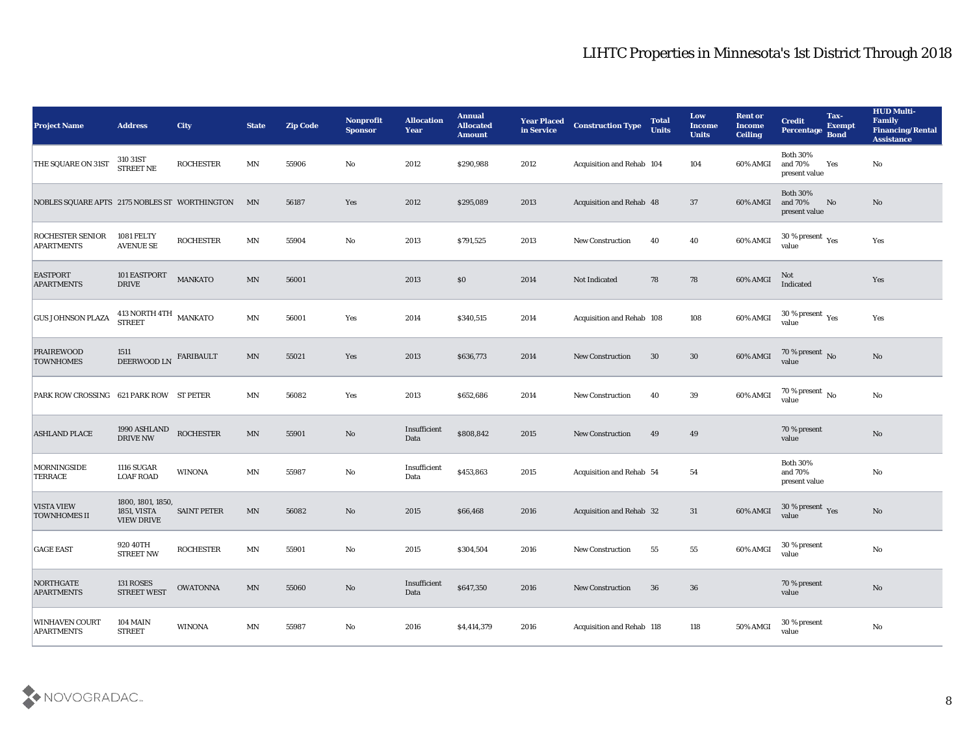| <b>Project Name</b>                           | <b>Address</b>                                        | City               | <b>State</b>               | <b>Zip Code</b> | Nonprofit<br><b>Sponsor</b> | <b>Allocation</b><br><b>Year</b> | <b>Annual</b><br><b>Allocated</b><br><b>Amount</b> | <b>Year Placed</b><br>in Service | <b>Construction Type</b>  | <b>Total</b><br><b>Units</b> | Low<br><b>Income</b><br><b>Units</b> | <b>Rent or</b><br><b>Income</b><br><b>Ceiling</b> | <b>Credit</b><br>Percentage Bond                     | Tax-<br><b>Exempt</b> | <b>HUD Multi-</b><br>Family<br><b>Financing/Rental</b><br><b>Assistance</b> |
|-----------------------------------------------|-------------------------------------------------------|--------------------|----------------------------|-----------------|-----------------------------|----------------------------------|----------------------------------------------------|----------------------------------|---------------------------|------------------------------|--------------------------------------|---------------------------------------------------|------------------------------------------------------|-----------------------|-----------------------------------------------------------------------------|
| THE SQUARE ON 31ST                            | 310 31ST<br>STREET NE                                 | <b>ROCHESTER</b>   | MN                         | 55906           | No                          | 2012                             | \$290,988                                          | 2012                             | Acquisition and Rehab 104 |                              | 104                                  | 60% AMGI                                          | <b>Both 30%</b><br>and 70%<br>present value          | Yes                   | No                                                                          |
| NOBLES SQUARE APTS 2175 NOBLES ST WORTHINGTON |                                                       |                    | MN                         | 56187           | Yes                         | 2012                             | \$295,089                                          | 2013                             | Acquisition and Rehab 48  |                              | 37                                   | 60% AMGI                                          | <b>Both 30%</b><br>and 70%<br>present value          | No                    | No                                                                          |
| <b>ROCHESTER SENIOR</b><br><b>APARTMENTS</b>  | 1081 FELTY<br><b>AVENUE SE</b>                        | <b>ROCHESTER</b>   | $\mathbf{M} \mathbf{N}$    | 55904           | No                          | 2013                             | \$791,525                                          | 2013                             | <b>New Construction</b>   | 40                           | 40                                   | 60% AMGI                                          | 30 % present $\rm\thinspace\gamma_{\rm es}$<br>value |                       | Yes                                                                         |
| <b>EASTPORT</b><br><b>APARTMENTS</b>          | 101 EASTPORT<br><b>DRIVE</b>                          | <b>MANKATO</b>     | MN                         | 56001           |                             | 2013                             | $\$0$                                              | 2014                             | Not Indicated             | 78                           | 78                                   | 60% AMGI                                          | Not<br>Indicated                                     |                       | Yes                                                                         |
| <b>GUS JOHNSON PLAZA</b>                      | $413$ NORTH $4 \mathrm{TH}$ $_{\, \mathrm{MANKATO}}$  |                    | MN                         | 56001           | Yes                         | 2014                             | \$340,515                                          | 2014                             | Acquisition and Rehab 108 |                              | 108                                  | 60% AMGI                                          | 30 % present $\gamma_{\rm es}$<br>value              |                       | Yes                                                                         |
| <b>PRAIREWOOD</b><br><b>TOWNHOMES</b>         | 1511<br>DEERWOOD LN                                   | FARIBAULT          | MN                         | 55021           | Yes                         | 2013                             | \$636,773                                          | 2014                             | <b>New Construction</b>   | 30                           | 30                                   | 60% AMGI                                          | $70\,\%$ present $\,$ No value                       |                       | No                                                                          |
| <b>PARK ROW CROSSING</b>                      | 621 PARK ROW ST PETER                                 |                    | MN                         | 56082           | Yes                         | 2013                             | \$652,686                                          | 2014                             | New Construction          | 40                           | 39                                   | 60% AMGI                                          | $70\,\%$ present $\,$ No value                       |                       | No                                                                          |
| <b>ASHLAND PLACE</b>                          | 1990 ASHLAND<br><b>DRIVE NW</b>                       | <b>ROCHESTER</b>   | MN                         | 55901           | No                          | Insufficient<br>Data             | \$808,842                                          | 2015                             | <b>New Construction</b>   | 49                           | 49                                   |                                                   | 70 % present<br>value                                |                       | No                                                                          |
| <b>MORNINGSIDE</b><br><b>TERRACE</b>          | <b>1116 SUGAR</b><br><b>LOAF ROAD</b>                 | <b>WINONA</b>      | MN                         | 55987           | No                          | Insufficient<br>Data             | \$453,863                                          | 2015                             | Acquisition and Rehab 54  |                              | 54                                   |                                                   | <b>Both 30%</b><br>and 70%<br>present value          |                       | No                                                                          |
| <b>VISTA VIEW</b><br><b>TOWNHOMES II</b>      | 1800, 1801, 1850,<br>1851, VISTA<br><b>VIEW DRIVE</b> | <b>SAINT PETER</b> | MN                         | 56082           | No                          | 2015                             | \$66,468                                           | 2016                             | Acquisition and Rehab 32  |                              | 31                                   | 60% AMGI                                          | $30\,\%$ present $\,$ Yes value                      |                       | No                                                                          |
| <b>GAGE EAST</b>                              | 920 40TH<br><b>STREET NW</b>                          | <b>ROCHESTER</b>   | MN                         | 55901           | No                          | 2015                             | \$304,504                                          | 2016                             | <b>New Construction</b>   | 55                           | 55                                   | 60% AMGI                                          | 30 % present<br>value                                |                       | No                                                                          |
| NORTHGATE<br><b>APARTMENTS</b>                | <b>131 ROSES</b><br><b>STREET WEST</b>                | <b>OWATONNA</b>    | $\ensuremath{\text{MN}}$   | 55060           | $\rm\thinspace No$          | Insufficient<br>Data             | \$647,350                                          | 2016                             | <b>New Construction</b>   | 36                           | 36                                   |                                                   | 70 % present<br>value                                |                       | $\rm No$                                                                    |
| <b>WINHAVEN COURT</b><br><b>APARTMENTS</b>    | <b>104 MAIN</b><br><b>STREET</b>                      | WINONA             | $\mathop{\rm MN}\nolimits$ | 55987           | $\rm\, No$                  | 2016                             | \$4,414,379                                        | 2016                             | Acquisition and Rehab 118 |                              | 118                                  | 50% AMGI                                          | 30 % present<br>value                                |                       | $\rm\thinspace No$                                                          |